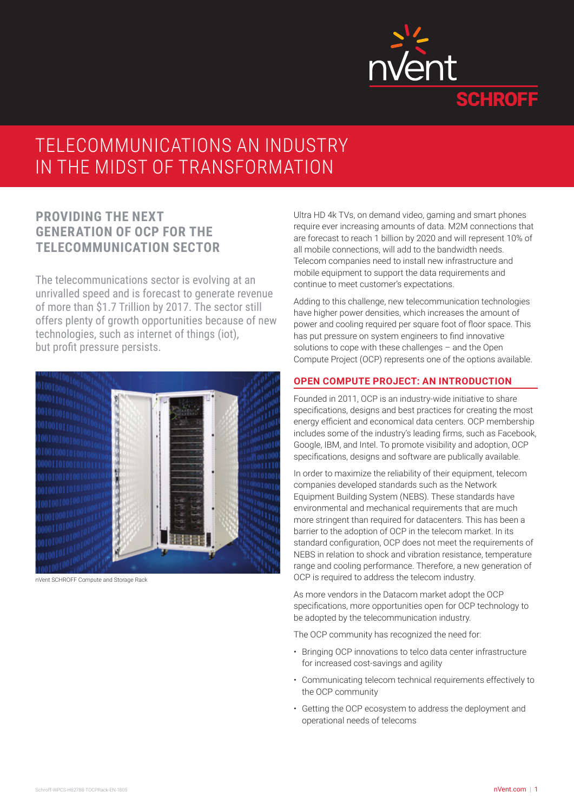

## TELECOMMUNICATIONS AN INDUSTRY IN THE MIDST OF TRANSFORMATION

## **PROVIDING THE NEXT GENERATION OF OCP FOR THE TELECOMMUNICATION SECTOR**

The telecommunications sector is evolving at an unrivalled speed and is forecast to generate revenue of more than \$1.7 Trillion by 2017. The sector still offers plenty of growth opportunities because of new technologies, such as internet of things (iot), but profit pressure persists.



nVent SCHROFF Compute and Storage Rack

Ultra HD 4k TVs, on demand video, gaming and smart phones require ever increasing amounts of data. M2M connections that are forecast to reach 1 billion by 2020 and will represent 10% of all mobile connections, will add to the bandwidth needs. Telecom companies need to install new infrastructure and mobile equipment to support the data requirements and continue to meet customer's expectations.

Adding to this challenge, new telecommunication technologies have higher power densities, which increases the amount of power and cooling required per square foot of floor space. This has put pressure on system engineers to find innovative solutions to cope with these challenges – and the Open Compute Project (OCP) represents one of the options available.

#### **OPEN COMPUTE PROJECT: AN INTRODUCTION**

Founded in 2011, OCP is an industry-wide initiative to share specifications, designs and best practices for creating the most energy efficient and economical data centers. OCP membership includes some of the industry's leading firms, such as Facebook, Google, IBM, and Intel. To promote visibility and adoption, OCP specifications, designs and software are publically available.

In order to maximize the reliability of their equipment, telecom companies developed standards such as the Network Equipment Building System (NEBS). These standards have environmental and mechanical requirements that are much more stringent than required for datacenters. This has been a barrier to the adoption of OCP in the telecom market. In its standard configuration, OCP does not meet the requirements of NEBS in relation to shock and vibration resistance, temperature range and cooling performance. Therefore, a new generation of OCP is required to address the telecom industry.

As more vendors in the Datacom market adopt the OCP specifications, more opportunities open for OCP technology to be adopted by the telecommunication industry.

The OCP community has recognized the need for:

- Bringing OCP innovations to telco data center infrastructure for increased cost-savings and agility
- Communicating telecom technical requirements effectively to the OCP community
- Getting the OCP ecosystem to address the deployment and operational needs of telecoms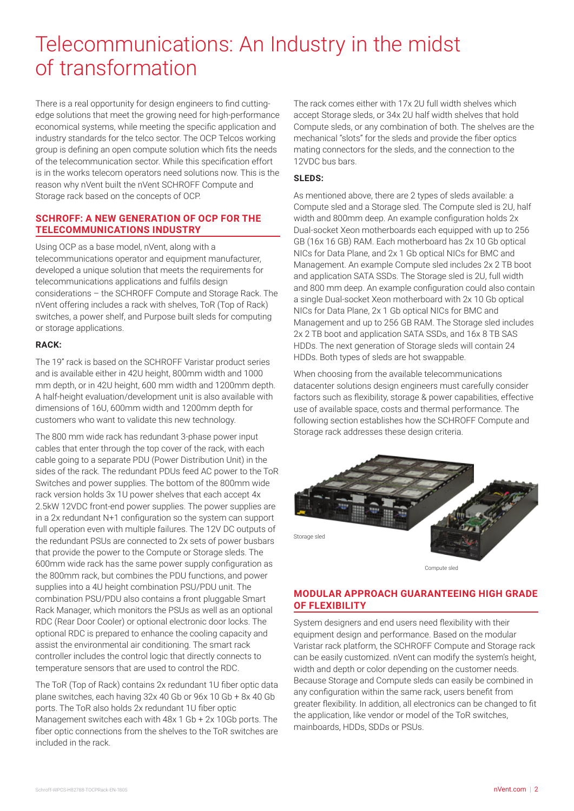# Telecommunications: An Industry in the midst of transformation

There is a real opportunity for design engineers to find cuttingedge solutions that meet the growing need for high-performance economical systems, while meeting the specific application and industry standards for the telco sector. The OCP Telcos working group is defining an open compute solution which fits the needs of the telecommunication sector. While this specification effort is in the works telecom operators need solutions now. This is the reason why nVent built the nVent SCHROFF Compute and Storage rack based on the concepts of OCP.

## **SCHROFF: A NEW GENERATION OF OCP FOR THE TELECOMMUNICATIONS INDUSTRY**

Using OCP as a base model, nVent, along with a telecommunications operator and equipment manufacturer, developed a unique solution that meets the requirements for telecommunications applications and fulfils design considerations – the SCHROFF Compute and Storage Rack. The nVent offering includes a rack with shelves, ToR (Top of Rack) switches, a power shelf, and Purpose built sleds for computing or storage applications.

### **RACK:**

The 19" rack is based on the SCHROFF Varistar product series and is available either in 42U height, 800mm width and 1000 mm depth, or in 42U height, 600 mm width and 1200mm depth. A half-height evaluation/development unit is also available with dimensions of 16U, 600mm width and 1200mm depth for customers who want to validate this new technology.

The 800 mm wide rack has redundant 3-phase power input cables that enter through the top cover of the rack, with each cable going to a separate PDU (Power Distribution Unit) in the sides of the rack. The redundant PDUs feed AC power to the ToR Switches and power supplies. The bottom of the 800mm wide rack version holds 3x 1U power shelves that each accept 4x 2.5kW 12VDC front-end power supplies. The power supplies are in a 2x redundant N+1 configuration so the system can support full operation even with multiple failures. The 12V DC outputs of the redundant PSUs are connected to 2x sets of power busbars that provide the power to the Compute or Storage sleds. The 600mm wide rack has the same power supply configuration as the 800mm rack, but combines the PDU functions, and power supplies into a 4U height combination PSU/PDU unit. The combination PSU/PDU also contains a front pluggable Smart Rack Manager, which monitors the PSUs as well as an optional RDC (Rear Door Cooler) or optional electronic door locks. The optional RDC is prepared to enhance the cooling capacity and assist the environmental air conditioning. The smart rack controller includes the control logic that directly connects to temperature sensors that are used to control the RDC.

The ToR (Top of Rack) contains 2x redundant 1U fiber optic data plane switches, each having 32x 40 Gb or 96x 10 Gb + 8x 40 Gb ports. The ToR also holds 2x redundant 1U fiber optic Management switches each with 48x 1 Gb + 2x 10Gb ports. The fiber optic connections from the shelves to the ToR switches are included in the rack.

The rack comes either with 17x 2U full width shelves which accept Storage sleds, or 34x 2U half width shelves that hold Compute sleds, or any combination of both. The shelves are the mechanical "slots" for the sleds and provide the fiber optics mating connectors for the sleds, and the connection to the 12VDC bus bars.

### **SLEDS:**

As mentioned above, there are 2 types of sleds available: a Compute sled and a Storage sled. The Compute sled is 2U, half width and 800mm deep. An example configuration holds 2x Dual-socket Xeon motherboards each equipped with up to 256 GB (16x 16 GB) RAM. Each motherboard has 2x 10 Gb optical NICs for Data Plane, and 2x 1 Gb optical NICs for BMC and Management. An example Compute sled includes 2x 2 TB boot and application SATA SSDs. The Storage sled is 2U, full width and 800 mm deep. An example configuration could also contain a single Dual-socket Xeon motherboard with 2x 10 Gb optical NICs for Data Plane, 2x 1 Gb optical NICs for BMC and Management and up to 256 GB RAM. The Storage sled includes 2x 2 TB boot and application SATA SSDs, and 16x 8 TB SAS HDDs. The next generation of Storage sleds will contain 24 HDDs. Both types of sleds are hot swappable.

When choosing from the available telecommunications datacenter solutions design engineers must carefully consider factors such as flexibility, storage & power capabilities, effective use of available space, costs and thermal performance. The following section establishes how the SCHROFF Compute and Storage rack addresses these design criteria.



Compute sled

## **MODULAR APPROACH GUARANTEEING HIGH GRADE OF FLEXIBILITY**

System designers and end users need flexibility with their equipment design and performance. Based on the modular Varistar rack platform, the SCHROFF Compute and Storage rack can be easily customized. nVent can modify the system's height, width and depth or color depending on the customer needs. Because Storage and Compute sleds can easily be combined in any configuration within the same rack, users benefit from greater flexibility. In addition, all electronics can be changed to fit the application, like vendor or model of the ToR switches, mainboards, HDDs, SDDs or PSUs.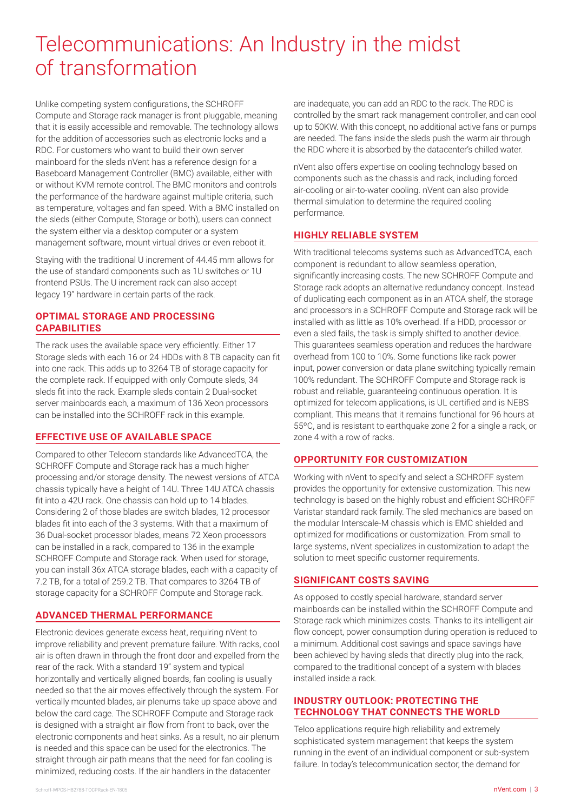## Telecommunications: An Industry in the midst of transformation

Unlike competing system configurations, the SCHROFF Compute and Storage rack manager is front pluggable, meaning that it is easily accessible and removable. The technology allows for the addition of accessories such as electronic locks and a RDC. For customers who want to build their own server mainboard for the sleds nVent has a reference design for a Baseboard Management Controller (BMC) available, either with or without KVM remote control. The BMC monitors and controls the performance of the hardware against multiple criteria, such as temperature, voltages and fan speed. With a BMC installed on the sleds (either Compute, Storage or both), users can connect the system either via a desktop computer or a system management software, mount virtual drives or even reboot it.

Staying with the traditional U increment of 44.45 mm allows for the use of standard components such as 1U switches or 1U frontend PSUs. The U increment rack can also accept legacy 19" hardware in certain parts of the rack.

## **OPTIMAL STORAGE AND PROCESSING CAPABILITIES**

The rack uses the available space very efficiently. Either 17 Storage sleds with each 16 or 24 HDDs with 8 TB capacity can fit into one rack. This adds up to 3264 TB of storage capacity for the complete rack. If equipped with only Compute sleds, 34 sleds fit into the rack. Example sleds contain 2 Dual-socket server mainboards each, a maximum of 136 Xeon processors can be installed into the SCHROFF rack in this example.

## **EFFECTIVE USE OF AVAILABLE SPACE**

Compared to other Telecom standards like AdvancedTCA, the SCHROFF Compute and Storage rack has a much higher processing and/or storage density. The newest versions of ATCA chassis typically have a height of 14U. Three 14U ATCA chassis fit into a 42U rack. One chassis can hold up to 14 blades. Considering 2 of those blades are switch blades, 12 processor blades fit into each of the 3 systems. With that a maximum of 36 Dual-socket processor blades, means 72 Xeon processors can be installed in a rack, compared to 136 in the example SCHROFF Compute and Storage rack. When used for storage, you can install 36x ATCA storage blades, each with a capacity of 7.2 TB, for a total of 259.2 TB. That compares to 3264 TB of storage capacity for a SCHROFF Compute and Storage rack.

## **ADVANCED THERMAL PERFORMANCE**

Electronic devices generate excess heat, requiring nVent to improve reliability and prevent premature failure. With racks, cool air is often drawn in through the front door and expelled from the rear of the rack. With a standard 19'' system and typical horizontally and vertically aligned boards, fan cooling is usually needed so that the air moves effectively through the system. For vertically mounted blades, air plenums take up space above and below the card cage. The SCHROFF Compute and Storage rack is designed with a straight air flow from front to back, over the electronic components and heat sinks. As a result, no air plenum is needed and this space can be used for the electronics. The straight through air path means that the need for fan cooling is minimized, reducing costs. If the air handlers in the datacenter

are inadequate, you can add an RDC to the rack. The RDC is controlled by the smart rack management controller, and can cool up to 50KW. With this concept, no additional active fans or pumps are needed. The fans inside the sleds push the warm air through the RDC where it is absorbed by the datacenter's chilled water.

nVent also offers expertise on cooling technology based on components such as the chassis and rack, including forced air-cooling or air-to-water cooling. nVent can also provide thermal simulation to determine the required cooling performance.

## **HIGHLY RELIABLE SYSTEM**

With traditional telecoms systems such as AdvancedTCA, each component is redundant to allow seamless operation, significantly increasing costs. The new SCHROFF Compute and Storage rack adopts an alternative redundancy concept. Instead of duplicating each component as in an ATCA shelf, the storage and processors in a SCHROFF Compute and Storage rack will be installed with as little as 10% overhead. If a HDD, processor or even a sled fails, the task is simply shifted to another device. This guarantees seamless operation and reduces the hardware overhead from 100 to 10%. Some functions like rack power input, power conversion or data plane switching typically remain 100% redundant. The SCHROFF Compute and Storage rack is robust and reliable, guaranteeing continuous operation. It is optimized for telecom applications, is UL certified and is NEBS compliant. This means that it remains functional for 96 hours at 55ºC, and is resistant to earthquake zone 2 for a single a rack, or zone 4 with a row of racks.

## **OPPORTUNITY FOR CUSTOMIZATION**

Working with nVent to specify and select a SCHROFF system provides the opportunity for extensive customization. This new technology is based on the highly robust and efficient SCHROFF Varistar standard rack family. The sled mechanics are based on the modular Interscale-M chassis which is EMC shielded and optimized for modifications or customization. From small to large systems, nVent specializes in customization to adapt the solution to meet specific customer requirements.

## **SIGNIFICANT COSTS SAVING**

As opposed to costly special hardware, standard server mainboards can be installed within the SCHROFF Compute and Storage rack which minimizes costs. Thanks to its intelligent air flow concept, power consumption during operation is reduced to a minimum. Additional cost savings and space savings have been achieved by having sleds that directly plug into the rack, compared to the traditional concept of a system with blades installed inside a rack.

## **INDUSTRY OUTLOOK: PROTECTING THE TECHNOLOGY THAT CONNECTS THE WORLD**

Telco applications require high reliability and extremely sophisticated system management that keeps the system running in the event of an individual component or sub-system failure. In today's telecommunication sector, the demand for